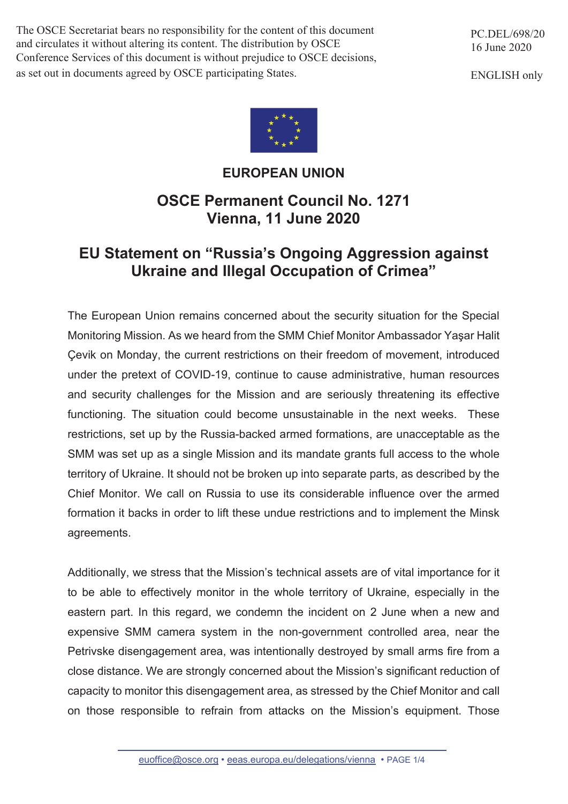The OSCE Secretariat bears no responsibility for the content of this document and circulates it without altering its content. The distribution by OSCE Conference Services of this document is without prejudice to OSCE decisions, as set out in documents agreed by OSCE participating States.

PC.DEL/698/20 16 June 2020

ENGLISH only



## **EUROPEAN UNION**

## **OSCE Permanent Council No. 1271 Vienna, 11 June 2020**

## **EU Statement on "Russia's Ongoing Aggression against Ukraine and Illegal Occupation of Crimea"**

The European Union remains concerned about the security situation for the Special Monitoring Mission. As we heard from the SMM Chief Monitor Ambassador Yaşar Halit Çevik on Monday, the current restrictions on their freedom of movement, introduced under the pretext of COVID-19, continue to cause administrative, human resources and security challenges for the Mission and are seriously threatening its effective functioning. The situation could become unsustainable in the next weeks. These restrictions, set up by the Russia-backed armed formations, are unacceptable as the SMM was set up as a single Mission and its mandate grants full access to the whole territory of Ukraine. It should not be broken up into separate parts, as described by the Chief Monitor. We call on Russia to use its considerable influence over the armed formation it backs in order to lift these undue restrictions and to implement the Minsk agreements.

Additionally, we stress that the Mission's technical assets are of vital importance for it to be able to effectively monitor in the whole territory of Ukraine, especially in the eastern part. In this regard, we condemn the incident on 2 June when a new and expensive SMM camera system in the non-government controlled area, near the Petrivske disengagement area, was intentionally destroyed by small arms fire from a close distance. We are strongly concerned about the Mission's significant reduction of capacity to monitor this disengagement area, as stressed by the Chief Monitor and call on those responsible to refrain from attacks on the Mission's equipment. Those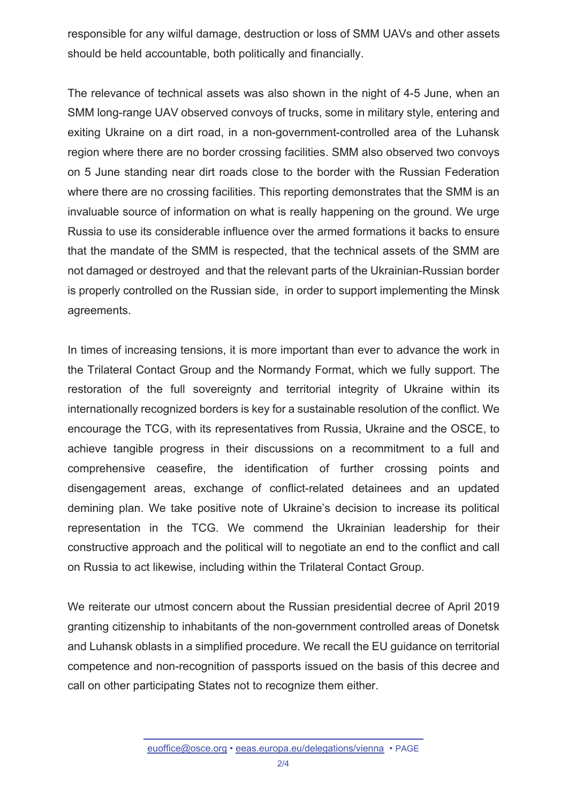responsible for any wilful damage, destruction or loss of SMM UAVs and other assets should be held accountable, both politically and financially.

The relevance of technical assets was also shown in the night of 4-5 June, when an SMM long-range UAV observed convoys of trucks, some in military style, entering and exiting Ukraine on a dirt road, in a non-government-controlled area of the Luhansk region where there are no border crossing facilities. SMM also observed two convoys on 5 June standing near dirt roads close to the border with the Russian Federation where there are no crossing facilities. This reporting demonstrates that the SMM is an invaluable source of information on what is really happening on the ground. We urge Russia to use its considerable influence over the armed formations it backs to ensure that the mandate of the SMM is respected, that the technical assets of the SMM are not damaged or destroyed and that the relevant parts of the Ukrainian-Russian border is properly controlled on the Russian side, in order to support implementing the Minsk agreements.

In times of increasing tensions, it is more important than ever to advance the work in the Trilateral Contact Group and the Normandy Format, which we fully support. The restoration of the full sovereignty and territorial integrity of Ukraine within its internationally recognized borders is key for a sustainable resolution of the conflict. We encourage the TCG, with its representatives from Russia, Ukraine and the OSCE, to achieve tangible progress in their discussions on a recommitment to a full and comprehensive ceasefire, the identification of further crossing points and disengagement areas, exchange of conflict-related detainees and an updated demining plan. We take positive note of Ukraine's decision to increase its political representation in the TCG. We commend the Ukrainian leadership for their constructive approach and the political will to negotiate an end to the conflict and call on Russia to act likewise, including within the Trilateral Contact Group.

We reiterate our utmost concern about the Russian presidential decree of April 2019 granting citizenship to inhabitants of the non-government controlled areas of Donetsk and Luhansk oblasts in a simplified procedure. We recall the EU guidance on territorial competence and non-recognition of passports issued on the basis of this decree and call on other participating States not to recognize them either.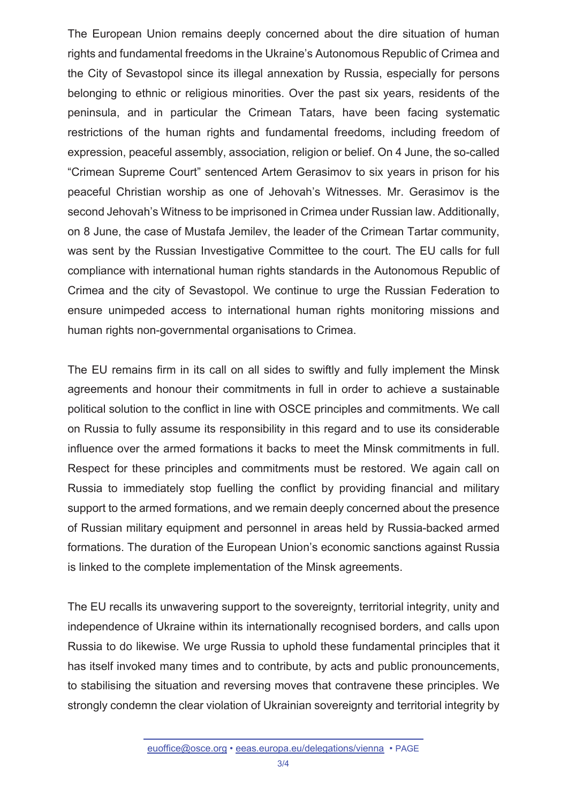The European Union remains deeply concerned about the dire situation of human rights and fundamental freedoms in the Ukraine's Autonomous Republic of Crimea and the City of Sevastopol since its illegal annexation by Russia, especially for persons belonging to ethnic or religious minorities. Over the past six years, residents of the peninsula, and in particular the Crimean Tatars, have been facing systematic restrictions of the human rights and fundamental freedoms, including freedom of expression, peaceful assembly, association, religion or belief. On 4 June, the so-called "Crimean Supreme Court" sentenced Artem Gerasimov to six years in prison for his peaceful Christian worship as one of Jehovah's Witnesses. Mr. Gerasimov is the second Jehovah's Witness to be imprisoned in Crimea under Russian law. Additionally, on 8 June, the case of Mustafa Jemilev, the leader of the Crimean Tartar community, was sent by the Russian Investigative Committee to the court. The EU calls for full compliance with international human rights standards in the Autonomous Republic of Crimea and the city of Sevastopol. We continue to urge the Russian Federation to ensure unimpeded access to international human rights monitoring missions and human rights non-governmental organisations to Crimea.

The EU remains firm in its call on all sides to swiftly and fully implement the Minsk agreements and honour their commitments in full in order to achieve a sustainable political solution to the conflict in line with OSCE principles and commitments. We call on Russia to fully assume its responsibility in this regard and to use its considerable influence over the armed formations it backs to meet the Minsk commitments in full. Respect for these principles and commitments must be restored. We again call on Russia to immediately stop fuelling the conflict by providing financial and military support to the armed formations, and we remain deeply concerned about the presence of Russian military equipment and personnel in areas held by Russia-backed armed formations. The duration of the European Union's economic sanctions against Russia is linked to the complete implementation of the Minsk agreements.

The EU recalls its unwavering support to the sovereignty, territorial integrity, unity and independence of Ukraine within its internationally recognised borders, and calls upon Russia to do likewise. We urge Russia to uphold these fundamental principles that it has itself invoked many times and to contribute, by acts and public pronouncements, to stabilising the situation and reversing moves that contravene these principles. We strongly condemn the clear violation of Ukrainian sovereignty and territorial integrity by